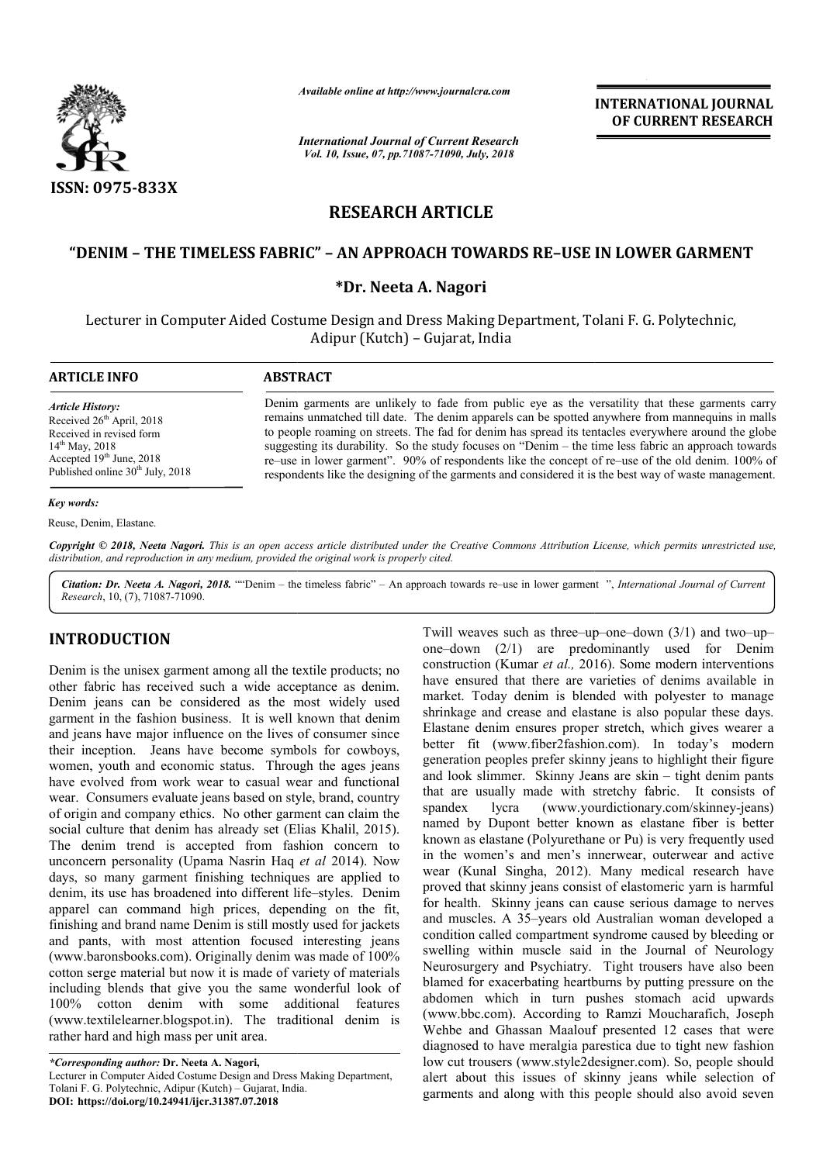

*Available online at http://www.journalcra.com*

*International Journal of Current Research Vol. 10, Issue, 07, pp.71087-71090, July, 2018*

**INTERNATIONAL JOURNAL OF CURRENT RESEARCH**

# **RESEARCH ARTICLE**

## **"DENIM – THE TIMELESS FABRIC" – AN APPROACH TOWARDS RE–USE IN LOWER GARMENT USE**

#### **\*Dr. Neeta A. Nagori**

Lecturer in Computer Aided Costume Design and Dress Making Department, Tolani F. G. Polytechnic, Polytechnic, Adipur (Kutch) – Gujarat, India

**ARTICLE INFO ABSTRACT**

*Article History:* Received 26<sup>th</sup> April, 2018 Received in revised form 14th May, 2018 Accepted 19<sup>th</sup> June, 2018 Published online  $30<sup>th</sup>$  July, 2018

Denim garments are unlikely to fade from public eye as the versatility that these garments carry remains unmatched till date. The denim apparels can be spotted anywhere from mannequins in malls to people roaming on streets. The fad for denim has spread its tentacles everywhere around the globe suggesting its durability. So the study focuses on "Denim – the time less fabric an approach towards re–use in lower garment". 90% of respondents like the concept of re respondents like the designing of the garments and considered it is the best way of waste management. Denim garments are unlikely to fade from public eye as the versatility that these garments carry remains unmatched till date. The denim apparels can be spotted anywhere from mannequins in malls to people roaming on streets

#### *Key words:*

Reuse, Denim, Elastane.

Copyright © 2018, Neeta Nagori. This is an open access article distributed under the Creative Commons Attribution License, which permits unrestricted use, *distribution, and reproduction in any medium, provided the original work is properly cited.*

Citation: Dr. Neeta A. Nagori, 2018. ""Denim – the timeless fabric" – An approach towards re–use in lower garment ", *International Journal of Current Research*, 10, (7), 71087-71090.

### **INTRODUCTION**

Denim is the unisex garment among all the textile products; no other fabric has received such a wide acceptance as denim. Denim jeans can be considered as the most widely used garment in the fashion business. It is well known that denim and jeans have major influence on the lives of consumer since their inception. Jeans have become symbols for cowboys, women, youth and economic status. Through the ages jeans have evolved from work wear to casual wear and functional wear. Consumers evaluate jeans based on style, brand, country of origin and company ethics. No other garment can claim the social culture that denim has already set (Elias Khalil, 2015). The denim trend is accepted from fashion concern to unconcern personality (Upama Nasrin Haq *et al* 2014). Now days, so many garment finishing techniques are applied to denim, its use has broadened into different life life–styles. Denim apparel can command high prices, depending on the fit, finishing and brand name Denim is still mostly used for jackets and pants, with most attention focused interesting jeans (www.baronsbooks.com). Originally denim was made of 100% cotton serge material but now it is made of variety of materials including blends that give you the same wonderful look of 100% cotton denim with some additional features (www.textilelearner.blogspot.in). The traditional denim is rather hard and high mass per unit area.

*\*Corresponding author:* **Dr. Neeta A. Nagori,** Lecturer in Computer Aided Costume Design and Dress Making Department, Tolani F. G. Polytechnic, Adipur (Kutch) - Gujarat, India. **DOI: https://doi.org/10.24941/ijcr.31387.07.2018**

Twill weaves such as three–up–one–down (3/1) and two–up– one–down  $(2/1)$  are predominantly used for Denim construction (Kumar *et al.,* 2016). Some modern interventions have ensured that there are varieties of denims available in market. Today denim is blended with polyester to manage shrinkage and crease and elastane is also popular these days. Elastane denim ensures proper stretch, which gives wearer a better fit (www.fiber2fashion.com). In today's modern generation peoples prefer skinny jeans to highlight their figure and look slimmer. Skinny Jeans are skin that are usually made with stretchy fabric. It consists of spandex lycra (www.yourdictionary.com/skinney-jeans) spandex lycra (www.yourdictionary.com/skinney-jeans) named by Dupont better known as elastane fiber is better known as elastane (Polyurethane or Pu) is very frequently used in the women's and men's innerwear, outerwear and active wear (Kunal Singha, 2012). Many medical research have proved that skinny jeans consist of elastomeric varn is harmful for health. Skinny jeans can cause serious damage to nerves and muscles. A 35–years old Australian woman developed a condition called compartment syndrome caused by bleeding or swelling within muscle said in the Journal of Neurology Neurosurgery and Psychiatry. Tight trousers have also been blamed for exacerbating heartburns by putting pressure on the abdomen which in turn pushes stomach acid upwards (www.bbc.com). According to Ramzi Moucharafich, Joseph Wehbe and Ghassan Maalouf presented 12 cases that were diagnosed to have meralgia parestica due to tight new fashion low cut trousers (www.style2designer.com). So, people should alert about this issues of skinny jeans while selection of garments and along with this people should also avoid seven is and crease and elastane is also popular these days.<br>It and crease and elastane is also popular these days.<br>It and denim ensures proper stretch, which gives wearer a<br>r fit (www.fiber2fashion.com). In today's modern<br>ratio by Dupont better known as elastane fiber is better as elastane (Polyurethane or Pu) is very frequently used women's and men's innerwear, outerwear and active Kunal Singha, 2012). Many medical research have that skinny jean **SKINNY CONSERV INTERNATIONAL JOURNAL FORMATIONAL CONSERVATIONAL CONSERVATION (CONSERVATION AND ARGO THE CONSERVATION AND ARGO THE CONSERVATION (GUITS CONSERVATION CONSERVATION (GUITS CONSERVATION CONSERVATION CONSERVATIO**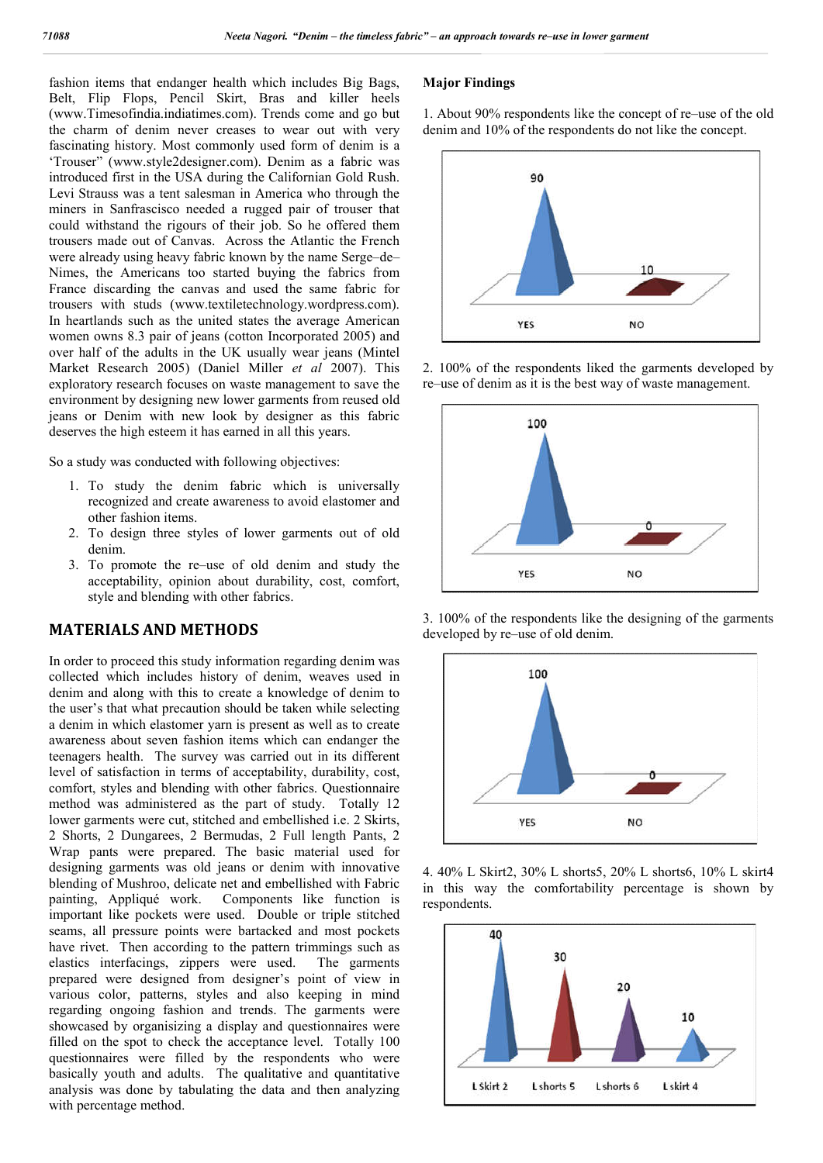fashion items that endanger health which includes Big Bags, Belt, Flip Flops, Pencil Skirt, Bras and killer heels (www.Timesofindia.indiatimes.com). Trends come and go but the charm of denim never creases to wear out with very fascinating history. Most commonly used form of denim is a 'Trouser" (www.style2designer.com). Denim as a fabric was introduced first in the USA during the Californian Gold Rush. Levi Strauss was a tent salesman in America who through the miners in Sanfrascisco needed a rugged pair of trouser that could withstand the rigours of their job. So he offered them trousers made out of Canvas. Across the Atlantic the French were already using heavy fabric known by the name Serge–de– Nimes, the Americans too started buying the fabrics from France discarding the canvas and used the same fabric for trousers with studs (www.textiletechnology.wordpress.com). In heartlands such as the united states the average American women owns 8.3 pair of jeans (cotton Incorporated 2005) and over half of the adults in the UK usually wear jeans (Mintel Market Research 2005) (Daniel Miller *et al* 2007). This exploratory research focuses on waste management to save the environment by designing new lower garments from reused old jeans or Denim with new look by designer as this fabric deserves the high esteem it has earned in all this years.

So a study was conducted with following objectives:

- 1. To study the denim fabric which is universally recognized and create awareness to avoid elastomer and other fashion items.
- 2. To design three styles of lower garments out of old denim.
- 3. To promote the re–use of old denim and study the acceptability, opinion about durability, cost, comfort, style and blending with other fabrics.

### **MATERIALS AND METHODS**

In order to proceed this study information regarding denim was collected which includes history of denim, weaves used in denim and along with this to create a knowledge of denim to the user's that what precaution should be taken while selecting a denim in which elastomer yarn is present as well as to create awareness about seven fashion items which can endanger the teenagers health. The survey was carried out in its different level of satisfaction in terms of acceptability, durability, cost, comfort, styles and blending with other fabrics. Questionnaire method was administered as the part of study. Totally 12 lower garments were cut, stitched and embellished i.e. 2 Skirts, 2 Shorts, 2 Dungarees, 2 Bermudas, 2 Full length Pants, 2 Wrap pants were prepared. The basic material used for designing garments was old jeans or denim with innovative blending of Mushroo, delicate net and embellished with Fabric painting, Appliqué work. Components like function is important like pockets were used. Double or triple stitched seams, all pressure points were bartacked and most pockets have rivet. Then according to the pattern trimmings such as elastics interfacings, zippers were used. The garments prepared were designed from designer's point of view in various color, patterns, styles and also keeping in mind regarding ongoing fashion and trends. The garments were showcased by organisizing a display and questionnaires were filled on the spot to check the acceptance level. Totally 100 questionnaires were filled by the respondents who were basically youth and adults. The qualitative and quantitative analysis was done by tabulating the data and then analyzing with percentage method.

#### **Major Findings**

1. About 90% respondents like the concept of re–use of the old denim and 10% of the respondents do not like the concept.



2. 100% of the respondents liked the garments developed by re–use of denim as it is the best way of waste management.



3. 100% of the respondents like the designing of the garments developed by re–use of old denim.



4. 40% L Skirt2, 30% L shorts5, 20% L shorts6, 10% L skirt4 in this way the comfortability percentage is shown by respondents.

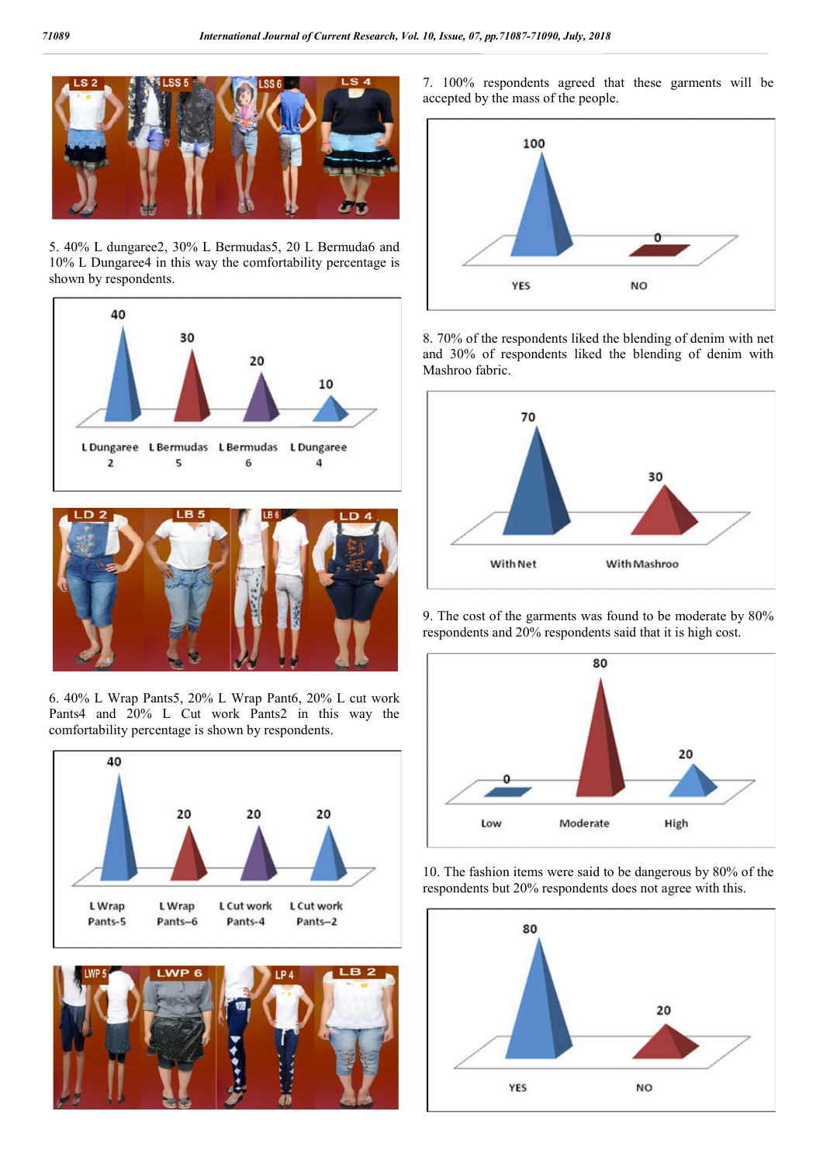

5. 40% L dungaree2, 30% L Bermudas5, 20 L Bermuda6 and 10% L Dungaree4 in this way the comfortability percentage is shown by respondents.





6. 40% L Wrap Pants5, 20% L Wrap Pant6, 20% L cut work Pants4 and 20% L Cut work Pants2 in this way the comfortability percentage is shown by respondents.





7. 100% respondents agreed that these garments will be accepted by the mass of the people.



8. 70% of the respondents liked the blending of denim with net and 30% of respondents liked the blending of denim with Mashroo fabric.



9. The cost of the garments was found to be moderate by 80% respondents and 20% respondents said that it is high cost.



10. The fashion items were said to be dangerous by 80% of the respondents but 20% respondents does not agree with this.